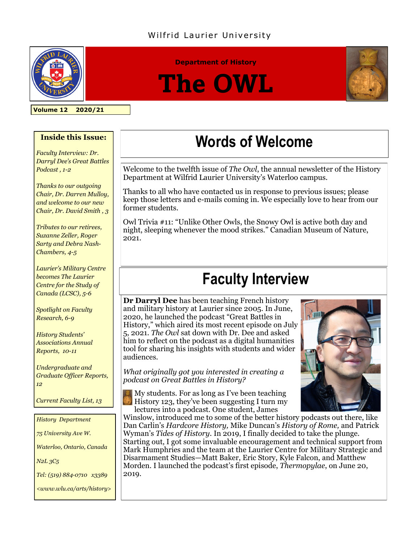### Wilfrid Laurier University



**Department of History**

# **The OWL**



**Volume 12 2020/21**

#### **Inside this Issue:**

*Faculty Interview: Dr. Darryl Dee's Great Battles Podcast , 1-2*

*Thanks to our outgoing Chair, Dr. Darren Mulloy, and welcome to our new Chair, Dr. David Smith , 3*

*Tributes to our retirees, Suzanne Zeller, Roger Sarty and Debra Nash-Chambers, 4-5*

*Laurier's Military Centre becomes The Laurier Centre for the Study of Canada (LCSC), 5-6*

*Spotlight on Faculty Research, 6-9*

*History Students' Associations Annual Reports, 10-11* 

*Undergraduate and Graduate Officer Reports, 12*

*Current Faculty List, 13*

*History Department*

*75 University Ave W.*

*Waterloo, Ontario, Canada*

*N2L 3C5*

*Tel: (519) 884-0710 x3389* 

*<www.wlu.ca/arts/history>*

### **Words of Welcome**

Welcome to the twelfth issue of *The Owl*, the annual newsletter of the History Department at Wilfrid Laurier University's Waterloo campus.

Thanks to all who have contacted us in response to previous issues; please keep those letters and e-mails coming in. We especially love to hear from our former students.

Owl Trivia #11: "Unlike Other Owls, the Snowy Owl is active both day and night, sleeping whenever the mood strikes." Canadian Museum of Nature, 2021.

### **Faculty Interview**

**Dr Darryl Dee** has been teaching French history and military history at Laurier since 2005. In June, 2020, he launched the podcast "Great Battles in History," which aired its most recent episode on July 5, 2021. *The Owl* sat down with Dr. Dee and asked him to reflect on the podcast as a digital humanities tool for sharing his insights with students and wider audiences.

*What originally got you interested in creating a podcast on Great Battles in History?*

 $\mathbb{N}$  My students. For as long as I've been teaching History 123, they've been suggesting I turn my lectures into a podcast. One student, James

Winslow, introduced me to some of the better history podcasts out there, like Dan Carlin's *Hardcore History,* Mike Duncan's *History of Rome,* and Patrick Wyman's *Tides of History.* In 2019, I finally decided to take the plunge. Starting out, I got some invaluable encouragement and technical support from Mark Humphries and the team at the Laurier Centre for Military Strategic and Disarmament Studies—Matt Baker, Eric Story, Kyle Falcon, and Matthew Morden. I launched the podcast's first episode, *Thermopylae*, on June 20, 2019.

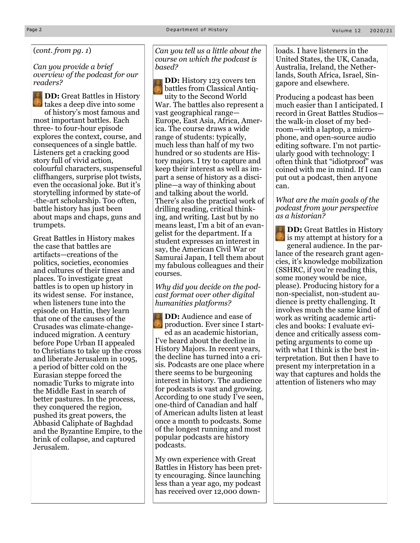(*cont. from pg. 1*)

*Can you provide a brief overview of the podcast for our readers?*

**DD:** Great Battles in History takes a deep dive into some of history's most famous and most important battles. Each three- to four-hour episode explores the context, course, and consequences of a single battle. Listeners get a cracking good story full of vivid action, colourful characters, suspenseful cliffhangers*,* surprise plot twists, even the occasional joke. But it's storytelling informed by state-of -the-art scholarship. Too often, battle history has just been about maps and chaps, guns and trumpets.

Great Battles in History makes the case that battles are artifacts—creations of the politics, societies, economies and cultures of their times and places. To investigate great battles is to open up history in its widest sense. For instance, when listeners tune into the episode on Hattin, they learn that one of the causes of the Crusades was climate-changeinduced migration. A century before Pope Urban II appealed to Christians to take up the cross and liberate Jerusalem in 1095, a period of bitter cold on the Eurasian steppe forced the nomadic Turks to migrate into the Middle East in search of better pastures. In the process, they conquered the region, pushed its great powers, the Abbasid Caliphate of Baghdad and the Byzantine Empire, to the brink of collapse, and captured Jerusalem.

*Can you tell us a little about the course on which the podcast is based?*

**DD:** History 123 covers ten battles from Classical Antiquity to the Second World War. The battles also represent a vast geographical range— Europe, East Asia, Africa, America. The course draws a wide range of students: typically, much less than half of my two hundred or so students are History majors. I try to capture and keep their interest as well as impart a sense of history as a discipline—a way of thinking about and talking about the world. There's also the practical work of drilling reading, critical thinking, and writing. Last but by no means least, I'm a bit of an evangelist for the department. If a student expresses an interest in say, the American Civil War or Samurai Japan, I tell them about my fabulous colleagues and their courses.

*Why did you decide on the podcast format over other digital humanities platforms?*

**DD:** Audience and ease of production. Ever since I started as an academic historian, I've heard about the decline in History Majors. In recent years, the decline has turned into a crisis. Podcasts are one place where there seems to be burgeoning interest in history. The audience for podcasts is vast and growing. According to one study I've seen, one-third of Canadian and half of American adults listen at least once a month to podcasts. Some of the longest running and most popular podcasts are history podcasts.

My own experience with Great Battles in History has been pretty encouraging. Since launching less than a year ago, my podcast has received over 12,000 downloads. I have listeners in the United States, the UK, Canada, Australia, Ireland, the Netherlands, South Africa, Israel, Singapore and elsewhere.

Producing a podcast has been much easier than I anticipated. I record in Great Battles Studios the walk-in closet of my bedroom—with a laptop, a microphone, and open-source audio editing software. I'm not particularly good with technology: I often think that "idiotproof" was coined with me in mind. If I can put out a podcast, then anyone can.

#### *What are the main goals of the podcast from your perspective as a historian?*

**DD:** Great Battles in History is my attempt at history for a general audience. In the parlance of the research grant agencies, it's knowledge mobilization (SSHRC, if you're reading this, some money would be nice, please). Producing history for a non-specialist, non-student audience is pretty challenging. It involves much the same kind of work as writing academic articles and books: I evaluate evidence and critically assess competing arguments to come up with what I think is the best interpretation. But then I have to present my interpretation in a way that captures and holds the attention of listeners who may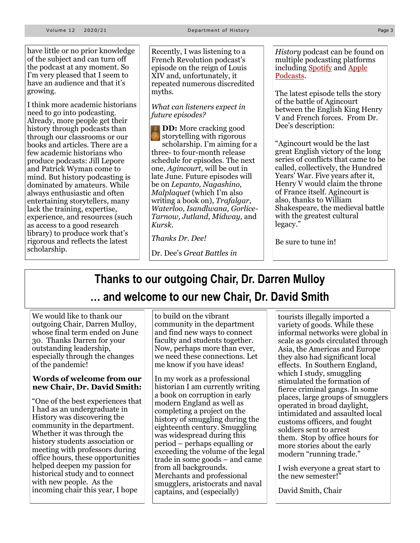have little or no prior knowledge of the subject and can turn off the podcast at any moment. So I'm very pleased that I seem to have an audience and that it's growing.

I think more academic historians need to go into podcasting. Already, more people get their history through podcasts than through our classrooms or our books and articles. There are a few academic historians who produce podcasts: Jill Lepore and Patrick Wyman come to mind. But history podcasting is dominated by amateurs. While always enthusiastic and often entertaining storytellers, many lack the training, expertise, experience, and resources (such as access to a good research library) to produce work that's rigorous and reflects the latest scholarship.

Recently, I was listening to a French Revolution podcast's episode on the reign of Louis XIV and, unfortunately, it repeated numerous discredited myths.

*What can listeners expect in future episodes?* 

**DD:** More cracking good storytelling with rigorous scholarship. I'm aiming for a three- to four-month release schedule for episodes. The next one, *Agincourt,* will be out in late June. Future episodes will be on *Lepanto, Nagashino, Malplaquet* (which I'm also writing a book on), *Trafalgar, Waterloo, Isandlwana, Gorlice-Tarnow, Jutland, Midway,* and *Kursk.* 

*Thanks Dr. Dee!*

Dr. Dee's *Great Battles in* 

*History* podcast can be found on multiple podcasting platforms including [Spotify](https://open.spotify.com/show/0BxMQus5lo3bSooKe4HWQ5?si=YrZsIOr-TrmzN9XIzqS2cA&dl_branch=1&nd=1) [a](https://open.spotify.com/show/0BxMQus5lo3bSooKe4HWQ5?si=YrZsIOr-TrmzN9XIzqS2cA&dl_branch=1&nd=1)nd [Apple](https://podcasts.apple.com/ca/podcast/great-battles-in-history/id1521386594)  [Podcasts.](https://podcasts.apple.com/ca/podcast/great-battles-in-history/id1521386594)

The latest episode tells the story of the battle of Agincourt between the English King Henry V and French forces. From Dr. Dee's description:

"Agincourt would be the last great English victory of the long series of conflicts that came to be called, collectively, the Hundred Years' War. Five years after it, Henry V would claim the throne of France itself. Agincourt is also, thanks to William Shakespeare, the medieval battle with the greatest cultural legacy."

Be sure to tune in!

### **Thanks to our outgoing Chair, Dr. Darren Mulloy … and welcome to our new Chair, Dr. David Smith**

We would like to thank our outgoing Chair, Darren Mulloy, whose final term ended on June 30. Thanks Darren for your outstanding leadership, especially through the changes of the pandemic!

#### **Words of welcome from our new Chair, Dr. David Smith:**

"One of the best experiences that I had as an undergraduate in History was discovering the community in the department. Whether it was through the history students association or meeting with professors during office hours, these opportunities helped deepen my passion for historical study and to connect with new people. As the incoming chair this year, I hope

to build on the vibrant community in the department and find new ways to connect faculty and students together. Now, perhaps more than ever, we need these connections. Let me know if you have ideas!

In my work as a professional historian I am currently writing a book on corruption in early modern England as well as completing a project on the history of smuggling during the eighteenth century. Smuggling was widespread during this period – perhaps equalling or exceeding the volume of the legal trade in some goods – and came from all backgrounds. Merchants and professional smugglers, aristocrats and naval captains, and (especially)

tourists illegally imported a variety of goods. While these informal networks were global in scale as goods circulated through Asia, the Americas and Europe they also had significant local effects. In Southern England, which I study, smuggling stimulated the formation of fierce criminal gangs. In some places, large groups of smugglers operated in broad daylight, intimidated and assaulted local customs officers, and fought soldiers sent to arrest them. Stop by office hours for more stories about the early modern "running trade."

I wish everyone a great start to the new semester!"

David Smith, Chair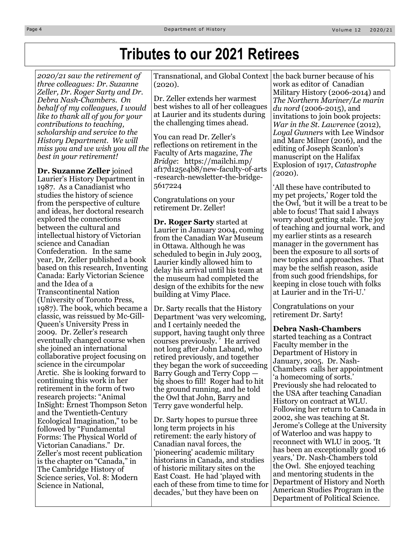### **Tributes to our 2021 Retirees**

*2020/21 saw the retirement of three colleagues: Dr. Suzanne Zeller, Dr. Roger Sarty and Dr. Debra Nash-Chambers. On behalf of my colleagues, I would like to thank all of you for your contributions to teaching, scholarship and service to the History Department. We will miss you and we wish you all the best in your retirement!* 

**Dr. Suzanne Zeller** joined Laurier's History Department in 1987. As a Canadianist who studies the history of science from the perspective of culture and ideas, her doctoral research explored the connections between the cultural and intellectual history of Victorian science and Canadian Confederation. In the same year, Dr, Zeller published a book based on this research, Inventing Canada: Early Victorian Science and the Idea of a Transcontinental Nation (University of Toronto Press, 1987). The book, which became a classic, was reissued by Mc-Gill-Queen's University Press in 2009. Dr. Zeller's research eventually changed course when she joined an international collaborative project focusing on science in the circumpolar Arctic. She is looking forward to continuing this work in her retirement in the form of two research projects: "Animal InSight: Ernest Thompson Seton and the Twentieth-Century Ecological Imagination," to be followed by "Fundamental Forms: The Physical World of Victorian Canadians." Dr. Zeller's most recent publication is the chapter on "Canada," in The Cambridge History of Science series, Vol. 8: Modern Science in National,

Transnational, and Global Context (2020).

Dr. Zeller extends her warmest best wishes to all of her colleagues at Laurier and its students during the challenging times ahead.

You can read Dr. Zeller's reflections on retirement in the Faculty of Arts magazine, *The Bridge*: https://mailchi.mp/ af17d125e4b8/new-faculty-of-arts -research-newsletter-the-bridge-5617224

Congratulations on your retirement Dr. Zeller!

**Dr. Roger Sarty** started at Laurier in January 2004, coming from the Canadian War Museum in Ottawa. Although he was scheduled to begin in July 2003, Laurier kindly allowed him to delay his arrival until his team at the museum had completed the design of the exhibits for the new building at Vimy Place.

Dr. Sarty recalls that the History Department 'was very welcoming, and I certainly needed the support, having taught only three courses previously. ' He arrived not long after John Laband, who retired previously, and together they began the work of succeeding Barry Gough and Terry Copp big shoes to fill! Roger had to hit the ground running, and he told the Owl that John, Barry and Terry gave wonderful help.

Dr. Sarty hopes to pursue three long term projects in his retirement: the early history of Canadian naval forces, the 'pioneering' academic military historians in Canada, and studies of historic military sites on the East Coast. He had 'played with each of these from time to time for decades,' but they have been on

the back burner because of his work as editor of Canadian Military History (2006-2014) and *The Northern Mariner/Le marin du nord* (2006-2015), and invitations to join book projects: *War in the St. Lawrence* (2012), *Loyal Gunners* with Lee Windsor and Marc Milner (2016), and the editing of Joseph Scanlon's manuscript on the Halifax Explosion of 1917, *Catastrophe (*2020).

'All these have contributed to my pet projects,' Roger told the the Owl, 'but it will be a treat to be able to focus! That said I always worry about getting stale. The joy of teaching and journal work, and my earlier stints as a research manager in the government has been the exposure to all sorts of new topics and approaches. That may be the selfish reason, aside from such good friendships, for keeping in close touch with folks at Laurier and in the Tri-U.'

Congratulations on your retirement Dr. Sarty!

#### **Debra Nash-Chambers**

started teaching as a Contract Faculty member in the Department of History in January, 2005. Dr. Nash-Chambers calls her appointment 'a homecoming of sorts.' Previously she had relocated to the USA after teaching Canadian History on contract at WLU. Following her return to Canada in 2002, she was teaching at St. Jerome's College at the University of Waterloo and was happy to reconnect with WLU in 2005. 'It has been an exceptionally good 16 years,' Dr. Nash-Chambers told the Owl. She enjoyed teaching and mentoring students in the Department of History and North American Studies Program in the Department of Political Science.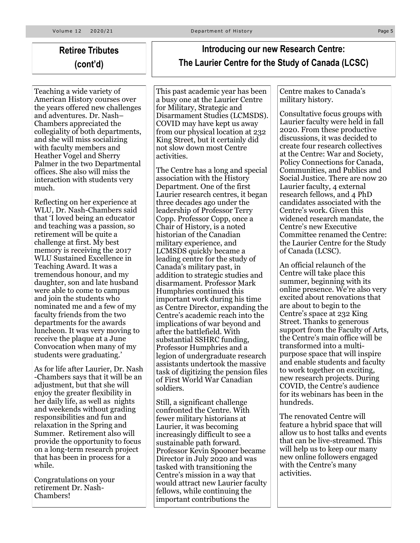### **Retiree Tributes (cont'd)**

Teaching a wide variety of American History courses over the years offered new challenges and adventures. Dr. Nash– Chambers appreciated the collegiality of both departments, and she will miss socializing with faculty members and Heather Vogel and Sherry Palmer in the two Departmental offices. She also will miss the interaction with students very much.

Reflecting on her experience at WLU, Dr. Nash-Chambers said that 'I loved being an educator and teaching was a passion, so retirement will be quite a challenge at first. My best memory is receiving the 2017 WLU Sustained Excellence in Teaching Award. It was a tremendous honour, and my daughter, son and late husband were able to come to campus and join the students who nominated me and a few of my faculty friends from the two departments for the awards luncheon. It was very moving to receive the plaque at a June Convocation when many of my students were graduating.'

As for life after Laurier, Dr. Nash -Chambers says that it will be an adjustment, but that she will enjoy the greater flexibility in her daily life, as well as nights and weekends without grading responsibilities and fun and relaxation in the Spring and Summer. Retirement also will provide the opportunity to focus on a long-term research project that has been in process for a while.

Congratulations on your retirement Dr. Nash-Chambers!

### **Introducing our new Research Centre: The Laurier Centre for the Study of Canada (LCSC)**

This past academic year has been a busy one at the Laurier Centre for Military, Strategic and Disarmament Studies (LCMSDS). COVID may have kept us away from our physical location at 232 King Street, but it certainly did not slow down most Centre activities.

The Centre has a long and special association with the History Department. One of the first Laurier research centres, it began three decades ago under the leadership of Professor Terry Copp. Professor Copp, once a Chair of History, is a noted historian of the Canadian military experience, and LCMSDS quickly became a leading centre for the study of Canada's military past, in addition to strategic studies and disarmament. Professor Mark Humphries continued this important work during his time as Centre Director, expanding the Centre's academic reach into the implications of war beyond and after the battlefield. With substantial SSHRC funding, Professor Humphries and a legion of undergraduate research assistants undertook the massive task of digitizing the pension files of First World War Canadian soldiers.

Still, a significant challenge confronted the Centre. With fewer military historians at Laurier, it was becoming increasingly difficult to see a sustainable path forward. Professor Kevin Spooner became Director in July 2020 and was tasked with transitioning the Centre's mission in a way that would attract new Laurier faculty fellows, while continuing the important contributions the

Centre makes to Canada's military history.

Consultative focus groups with Laurier faculty were held in fall 2020. From these productive discussions, it was decided to create four research collectives at the Centre: War and Society, Policy Connections for Canada, Communities, and Publics and Social Justice. There are now 20 Laurier faculty, 4 external research fellows, and 4 PhD candidates associated with the Centre's work. Given this widened research mandate, the Centre's new Executive Committee renamed the Centre: the Laurier Centre for the Study of Canada (LCSC).

An official relaunch of the Centre will take place this summer, beginning with its online presence. We're also very excited about renovations that are about to begin to the Centre's space at 232 King Street. Thanks to generous support from the Faculty of Arts, the Centre's main office will be transformed into a multipurpose space that will inspire and enable students and faculty to work together on exciting, new research projects. During COVID, the Centre's audience for its webinars has been in the hundreds.

The renovated Centre will feature a hybrid space that will allow us to host talks and events that can be live-streamed. This will help us to keep our many new online followers engaged with the Centre's many activities.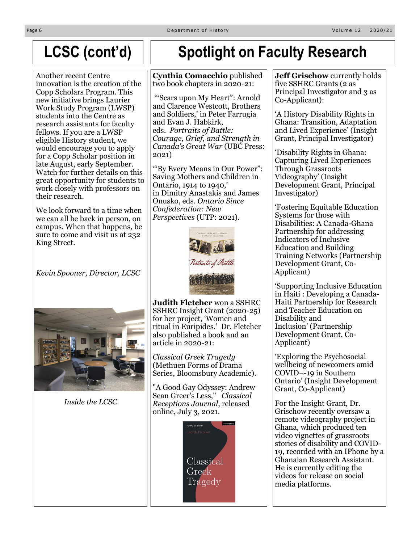#### Page 6 D e p a r tm e n tm e n tm e n tm e n tm e n tm e n tm e n tm e n tm e n tm e n tm e n tm e n tm e n tm e n tm e n tm e n tm e n tm e n tm e n tm e n tm e n tm e n tm e n tm e n tm e n tm e n tm e n tm e n tm e n tm

### **LCSC (cont'd)**

Another recent Centre innovation is the creation of the Copp Scholars Program. This new initiative brings Laurier Work Study Program (LWSP) students into the Centre as research assistants for faculty fellows. If you are a LWSP eligible History student, we would encourage you to apply for a Copp Scholar position in late August, early September. Watch for further details on this great opportunity for students to work closely with professors on their research.

We look forward to a time when we can all be back in person, on campus. When that happens, be sure to come and visit us at 232 King Street.

*Kevin Spooner, Director, LCSC* 



*Inside the LCSC*

## **Spotlight on Faculty Research**

#### **Cynthia Comacchio** published two book chapters in 2020-21:

'"Scars upon My Heart": Arnold and Clarence Westcott, Brothers and Soldiers,' in Peter Farrugia and Evan J. Habkirk, eds. *Portraits of Battle: Courage, Grief, and Strength in Canada's Great War* (UBC Press: 2021)

'"By Every Means in Our Power": Saving Mothers and Children in Ontario, 1914 to 1940,' in Dimitry Anastakis and James Onusko, eds. *Ontario Since Confederation: New Perspectives* (UTP: 2021).



**Judith Fletcher** won a SSHRC SSHRC Insight Grant (2020-25) for her project, 'Women and ritual in Euripides.' Dr. Fletcher also published a book and an article in 2020-21:

*Classical Greek Tragedy* (Methuen Forms of Drama Series, Bloomsbury Academic).

"A Good Gay Odyssey: Andrew Sean Greer's Less," *Classical Receptions Journal*, released online, July 3, 2021.



**Jeff Grischow** currently holds five SSHRC Grants (2 as Principal Investigator and 3 as Co-Applicant):

'A History Disability Rights in Ghana: Transition, Adaptation and Lived Experience' (Insight Grant, Principal Investigator)

'Disability Rights in Ghana: Capturing Lived Experiences Through Grassroots Videography' (Insight Development Grant, Principal Investigator)

'Fostering Equitable Education Systems for those with Disabilities: A Canada-Ghana Partnership for addressing Indicators of Inclusive Education and Building Training Networks (Partnership Development Grant, Co-Applicant)

'Supporting Inclusive Education in Haiti : Developing a Canada-Haiti Partnership for Research and Teacher Education on Disability and Inclusion' (Partnership Development Grant, Co-Applicant)

'Exploring the Psychosocial wellbeing of newcomers amid COVID¬-19 in Southern Ontario' (Insight Development Grant, Co-Applicant)

For the Insight Grant, Dr. Grischow recently oversaw a remote videography project in Ghana, which produced ten video vignettes of grassroots stories of disability and COVID-19, recorded with an IPhone by a Ghanaian Research Assistant. He is currently editing the videos for release on social media platforms.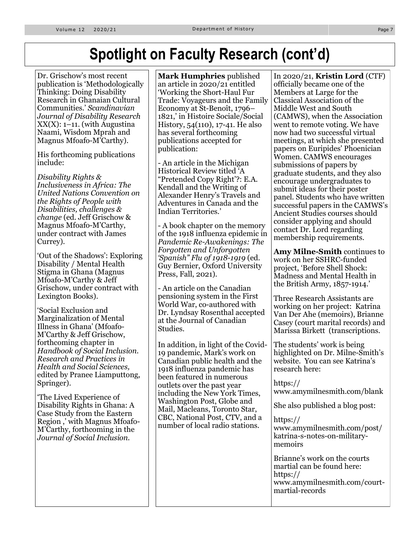### **Spotlight on Faculty Research (cont'd)**

Dr. Grischow's most recent publication is 'Methodologically Thinking: Doing Disability Research in Ghanaian Cultural Communities.' *Scandinavian Journal of Disability Research*   $XX(X)$ : 1–11. (with Augustina Naami, Wisdom Mprah and Magnus Mfoafo-M'Carthy).

His forthcoming publications include:

*Disability Rights & Inclusiveness in Africa: The United Nations Convention on the Rights of People with Disabilities, challenges & change* (ed. Jeff Grischow & Magnus Mfoafo-M'Carthy, under contract with James Currey).

'Out of the Shadows': Exploring Disability / Mental Health Stigma in Ghana (Magnus Mfoafo-M'Carthy & Jeff Grischow, under contract with Lexington Books).

'Social Exclusion and Marginalization of Mental Illness in Ghana' (Mfoafo-M'Carthy & Jeff Grischow, forthcoming chapter in *Handbook of Social Inclusion. Research and Practices in Health and Social Sciences,*  edited by Pranee Liamputtong, Springer).

'The Lived Experience of Disability Rights in Ghana: A Case Study from the Eastern Region ,' with Magnus Mfoafo-M'Carthy, forthcoming in the *Journal of Social Inclusion.*

**Mark Humphries** published an article in 2020/21 entitled 'Working the Short-Haul Fur Trade: Voyageurs and the Family Economy at St-Benoît, 1796– 1821,' in Histoire Sociale/Social History, 54(110), 17-41. He also has several forthcoming publications accepted for publication:

- An article in the Michigan Historical Review titled 'A "Pretended Copy Right'?: E.A. Kendall and the Writing of Alexander Henry's Travels and Adventures in Canada and the Indian Territories.'

- A book chapter on the memory of the 1918 influenza epidemic in *Pandemic Re-Awakenings: The Forgotten and Unforgotten 'Spanish" Flu of 1918-1919* (ed. Guy Bernier, Oxford University Press, Fall, 2021).

- An article on the Canadian pensioning system in the First World War, co-authored with Dr. Lyndsay Rosenthal accepted at the Journal of Canadian Studies.

In addition, in light of the Covid-19 pandemic, Mark's work on Canadian public health and the 1918 influenza pandemic has been featured in numerous outlets over the past year including the New York Times, Washington Post, Globe and Mail, Macleans, Toronto Star, CBC, National Post, CTV, and a number of local radio stations.

In 2020/21, **Kristin Lord** (CTF) officially became one of the Members at Large for the Classical Association of the Middle West and South (CAMWS), when the Association went to remote voting. We have now had two successful virtual meetings, at which she presented papers on Euripides' Phoenician Women. CAMWS encourages submissions of papers by graduate students, and they also encourage undergraduates to submit ideas for their poster panel. Students who have written successful papers in the CAMWS's Ancient Studies courses should consider applying and should contact Dr. Lord regarding membership requirements.

**Amy Milne-Smith** continues to work on her SSHRC-funded project, 'Before Shell Shock: Madness and Mental Health in the British Army, 1857-1914.'

Three Research Assistants are working on her project: Katrina Van Der Ahe (memoirs), Brianne Casey (court marital records) and Marissa Birkett (transcriptions.

The students' work is being highlighted on Dr. Milne-Smith's website. You can see Katrina's research here:

https:// www.amymilnesmith.com/blank

She also published a blog post:

https:// www.amymilnesmith.com/post/ katrina-s-notes-on-militarymemoirs

Brianne's work on the courts martial can be found here: https:// www.amymilnesmith.com/courtmartial-records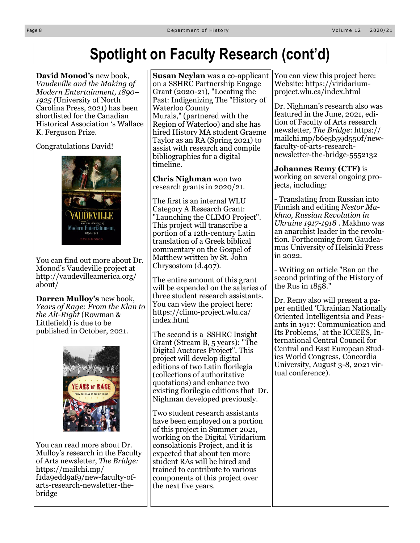### **Spotlight on Faculty Research (cont'd)**

**David Monod's** new book, *Vaudeville and the Making of Modern Entertainment, 1890– 1925 (*University of North Carolina Press, 2021) has been shortlisted for the Canadian Historical Association 's Wallace K. Ferguson Prize.

Congratulations David!



You can find out more about Dr. Monod's Vaudeville project at http://vaudevilleamerica.org/ about/

**Darren Mulloy's** new book, *Years of Rage: From the Klan to the Alt-Right* (Rowman & Littlefield) is due to be published in October, 2021.



You can read more about Dr. Mulloy's research in the Faculty of Arts newsletter, *The Bridge:*  https://mailchi.mp/ f1da9edd9af9/new-faculty-ofarts-research-newsletter-thebridge

**Susan Neylan** was a co-applicant on a SSHRC Partnership Engage Grant (2020-21), "Locating the Past: Indigenizing The "History of Waterloo County Murals," (partnered with the Region of Waterloo) and she has hired History MA student Graeme Taylor as an RA (Spring 2021) to assist with research and compile bibliographies for a digital timeline.

**Chris Nighman** won two research grants in 2020/21.

The first is an internal WLU Category A Research Grant: "Launching the CLIMO Project". This project will transcribe a portion of a 12th-century Latin translation of a Greek biblical commentary on the Gospel of Matthew written by St. John Chrysostom (d.407).

The entire amount of this grant will be expended on the salaries of three student research assistants. You can view the project here: https://climo-project.wlu.ca/ index.html

The second is a SSHRC Insight Grant (Stream B, 5 years): "The Digital Auctores Project". This project will develop digital editions of two Latin florilegia (collections of authoritative quotations) and enhance two existing florilegia editions that Dr. Nighman developed previously.

Two student research assistants have been employed on a portion of this project in Summer 2021, working on the Digital Viridarium consolationis Project, and it is expected that about ten more student RAs will be hired and trained to contribute to various components of this project over the next five years.

You can view this project here: Website: https://viridariumproject.wlu.ca/index.html

Dr. Nighman's research also was featured in the June, 2021, edition of Faculty of Arts research newsletter, *The Bridge*: https:// mailchi.mp/b6e5b59d550f/newfaculty-of-arts-researchnewsletter-the-bridge-5552132

**Johannes Remy (CTF)** is working on several ongoing projects, including:

- Translating from Russian into Finnish and editing *Nestor Makhno, Russian Revolution in Ukraine 1917-1918* . Makhno was an anarchist leader in the revolution. Forthcoming from Gaudeamus University of Helsinki Press in 2022.

- Writing an article "Ban on the second printing of the History of the Rus in 1858."

Dr. Remy also will present a paper entitled 'Ukrainian Nationally Oriented Intelligentsia and Peasants in 1917: Communication and Its Problems,' at the ICCEES, International Central Council for Central and East European Studies World Congress, Concordia University, August 3-8, 2021 virtual conference).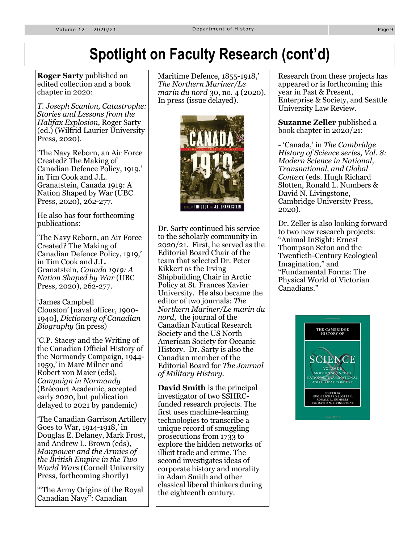### **Spotlight on Faculty Research (cont'd)**

**Roger Sarty** published an edited collection and a book chapter in 2020:

*T. Joseph Scanlon, Catastrophe: Stories and Lessons from the Halifax Explosion,* Roger Sarty (ed.) (Wilfrid Laurier University Press, 2020).

'The Navy Reborn, an Air Force Created? The Making of Canadian Defence Policy, 1919,' in Tim Cook and J.L. Granatstein, Canada 1919: A Nation Shaped by War (UBC Press, 2020), 262-277.

He also has four forthcoming publications:

'The Navy Reborn, an Air Force Created? The Making of Canadian Defence Policy, 1919,' in Tim Cook and J.L. Granatstein, *Canada 1919: A Nation Shaped by War* (UBC Press, 2020), 262-277.

'James Campbell Clouston' [naval officer, 1900- 1940], *Dictionary of Canadian Biography* (in press)

'C.P. Stacey and the Writing of the Canadian Official History of the Normandy Campaign, 1944- 1959,' in Marc Milner and Robert von Maier (eds), *Campaign in Normandy*  (Brécourt Academic, accepted early 2020, but publication delayed to 2021 by pandemic)

'The Canadian Garrison Artillery Goes to War, 1914-1918,' in Douglas E. Delaney, Mark Frost, and Andrew L. Brown (eds), *Manpower and the Armies of the British Empire in the Two World Wars* (Cornell University Press, forthcoming shortly)

'"The Army Origins of the Royal Canadian Navy": Canadian

Maritime Defence, 1855-1918,' *The Northern Mariner/Le marin du nord* 30, no. 4 (2020). In press (issue delayed).



Dr. Sarty continued his service to the scholarly community in 2020/21. First, he served as the Editorial Board Chair of the team that selected Dr. Peter Kikkert as the Irving Shipbuilding Chair in Arctic Policy at St. Frances Xavier University. He also became the editor of two journals: *The Northern Mariner/Le marin du nord*, the journal of the Canadian Nautical Research Society and the US North American Society for Oceanic History. Dr. Sarty is also the Canadian member of the Editorial Board for *The Journal of Military History.* 

**David Smith** is the principal investigator of two SSHRCfunded research projects. The first uses machine-learning technologies to transcribe a unique record of smuggling prosecutions from 1733 to explore the hidden networks of illicit trade and crime. The second investigates ideas of corporate history and morality in Adam Smith and other classical liberal thinkers during the eighteenth century.

Research from these projects has appeared or is forthcoming this year in Past & Present, Enterprise & Society, and Seattle University Law Review.

**Suzanne Zeller** published a book chapter in 2020/21:

**-** 'Canada,' in *The Cambridge History of Science series, Vol. 8: Modern Science in National, Transnational, and Global Context* (eds. Hugh Richard Slotten, Ronald L. Numbers & David N. Livingstone, Cambridge University Press, 2020).

Dr. Zeller is also looking forward to two new research projects: "Animal InSight: Ernest Thompson Seton and the Twentieth-Century Ecological Imagination," and "Fundamental Forms: The Physical World of Victorian Canadians."

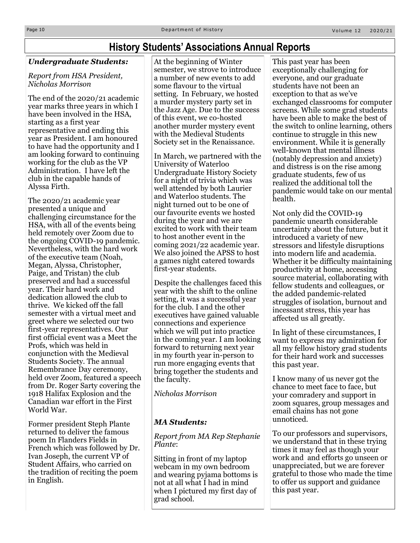### **History Students' Associations Annual Reports**

### *Undergraduate Students:*

#### *Report from HSA President, Nicholas Morrison*

The end of the 2020/21 academic year marks three years in which I have been involved in the HSA, starting as a first year representative and ending this year as President. I am honoured to have had the opportunity and I am looking forward to continuing working for the club as the VP Administration. I have left the club in the capable hands of Alyssa Firth.

The 2020/21 academic year presented a unique and challenging circumstance for the HSA, with all of the events being held remotely over Zoom due to the ongoing COVID-19 pandemic. Nevertheless, with the hard work of the executive team (Noah, Megan, Alyssa, Christopher, Paige, and Tristan) the club preserved and had a successful year. Their hard work and dedication allowed the club to thrive. We kicked off the fall semester with a virtual meet and greet where we selected our two first-year representatives. Our first official event was a Meet the Profs, which was held in conjunction with the Medieval Students Society. The annual Remembrance Day ceremony, held over Zoom, featured a speech from Dr. Roger Sarty covering the 1918 Halifax Explosion and the Canadian war effort in the First World War.

Former president Steph Plante returned to deliver the famous poem In Flanders Fields in French which was followed by Dr. Ivan Joseph, the current VP of Student Affairs, who carried on the tradition of reciting the poem in English.

At the beginning of Winter semester, we strove to introduce a number of new events to add some flavour to the virtual setting. In February, we hosted a murder mystery party set in the Jazz Age. Due to the success of this event, we co-hosted another murder mystery event with the Medieval Students Society set in the Renaissance.

In March, we partnered with the University of Waterloo Undergraduate History Society for a night of trivia which was well attended by both Laurier and Waterloo students. The night turned out to be one of our favourite events we hosted during the year and we are excited to work with their team to host another event in the coming 2021/22 academic year. We also joined the APSS to host a games night catered towards first-year students.

Despite the challenges faced this year with the shift to the online setting, it was a successful year for the club. I and the other executives have gained valuable connections and experience which we will put into practice in the coming year. I am looking forward to returning next year in my fourth year in-person to run more engaging events that bring together the students and the faculty.

*Nicholas Morrison*

### *MA Students:*

*Report from MA Rep Stephanie Plante*:

Sitting in front of my laptop webcam in my own bedroom and wearing pyjama bottoms is not at all what I had in mind when I pictured my first day of grad school.

This past year has been exceptionally challenging for everyone, and our graduate students have not been an exception to that as we've exchanged classrooms for computer screens. While some grad students have been able to make the best of the switch to online learning, others continue to struggle in this new environment. While it is generally well-known that mental illness (notably depression and anxiety) and distress is on the rise among graduate students, few of us realized the additional toll the pandemic would take on our mental health.

Not only did the COVID-19 pandemic unearth considerable uncertainty about the future, but it introduced a variety of new stressors and lifestyle disruptions into modern life and academia. Whether it be difficulty maintaining productivity at home, accessing source material, collaborating with fellow students and colleagues, or the added pandemic-related struggles of isolation, burnout and incessant stress, this year has affected us all greatly.

In light of these circumstances, I want to express my admiration for all my fellow history grad students for their hard work and successes this past year.

I know many of us never got the chance to meet face to face, but your comradery and support in zoom squares, group messages and email chains has not gone unnoticed.

To our professors and supervisors, we understand that in these trying times it may feel as though your work and and efforts go unseen or unappreciated, but we are forever grateful to those who made the time to offer us support and guidance this past year.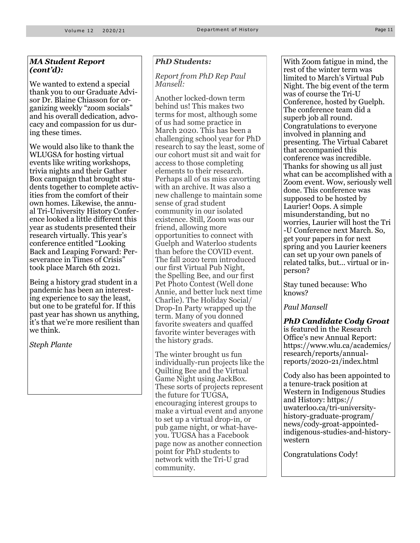#### *MA Student Report (cont'd):*

We wanted to extend a special thank you to our Graduate Advisor Dr. Blaine Chiasson for organizing weekly "zoom socials" and his overall dedication, advocacy and compassion for us during these times.

We would also like to thank the WLUGSA for hosting virtual events like writing workshops, trivia nights and their Gather Box campaign that brought students together to complete activities from the comfort of their own homes. Likewise, the annual Tri-University History Conference looked a little different this year as students presented their research virtually. This year's conference entitled "Looking Back and Leaping Forward: Perseverance in Times of Crisis" took place March 6th 2021.

Being a history grad student in a pandemic has been an interesting experience to say the least, but one to be grateful for. If this past year has shown us anything, it's that we're more resilient than we think.

*Steph Plante*

#### *PhD Students:*

#### *Report from PhD Rep Paul Mansell:*

Another locked-down term behind us! This makes two terms for most, although some of us had some practice in March 2020. This has been a challenging school year for PhD research to say the least, some of our cohort must sit and wait for access to those completing elements to their research. Perhaps all of us miss cavorting with an archive. It was also a new challenge to maintain some sense of grad student community in our isolated existence. Still, Zoom was our friend, allowing more opportunities to connect with Guelph and Waterloo students than before the COVID event. The fall 2020 term introduced our first Virtual Pub Night, the Spelling Bee, and our first Pet Photo Contest (Well done Annie, and better luck next time Charlie). The Holiday Social/ Drop-In Party wrapped up the term. Many of you donned favorite sweaters and quaffed favorite winter beverages with the history grads.

The winter brought us fun individually-run projects like the Quilting Bee and the Virtual Game Night using JackBox. These sorts of projects represent the future for TUGSA, encouraging interest groups to make a virtual event and anyone to set up a virtual drop-in, or pub game night, or what-haveyou. TUGSA has a Facebook page now as another connection point for PhD students to network with the Tri-U grad community.

With Zoom fatigue in mind, the rest of the winter term was limited to March's Virtual Pub Night. The big event of the term was of course the Tri-U Conference, hosted by Guelph. The conference team did a superb job all round. Congratulations to everyone involved in planning and presenting. The Virtual Cabaret that accompanied this conference was incredible. Thanks for showing us all just what can be accomplished with a Zoom event. Wow, seriously well done. This conference was supposed to be hosted by Laurier! Oops. A simple misunderstanding, but no worries, Laurier will host the Tri -U Conference next March. So, get your papers in for next spring and you Laurier keeners can set up your own panels of related talks, but... virtual or inperson?

Stay tuned because: Who knows?

*Paul Mansell*

*PhD Candidate Cody Groat*  is featured in the Research Office's new Annual Report: https://www.wlu.ca/academics/ research/reports/annualreports/2020-21/index.html

Cody also has been appointed to a tenure-track position at Western in Indigenous Studies and History: https:// uwaterloo.ca/tri-universityhistory-graduate-program/ news/cody-groat-appointedindigenous-studies-and-historywestern

Congratulations Cody!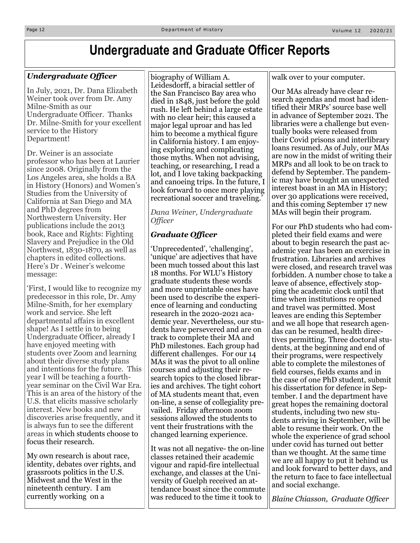### **Undergraduate and Graduate Officer Reports**

### *Undergraduate Officer*

In July, 2021, Dr. Dana Elizabeth Weiner took over from Dr. Amy Milne-Smith as our Undergraduate Officer. Thanks Dr. Milne-Smith for your excellent service to the History Department!

Dr. Weiner is an associate professor who has been at Laurier since 2008. Originally from the Los Angeles area, she holds a BA in History (Honors) and Women's Studies from the University of California at San Diego and MA and PhD degrees from Northwestern University. Her publications include the 2013 book, Race and Rights: Fighting Slavery and Prejudice in the Old Northwest, 1830-1870, as well as chapters in edited collections. Here's Dr . Weiner's welcome message:

'First, I would like to recognize my predecessor in this role, Dr. Amy Milne-Smith, for her exemplary work and service. She left departmental affairs in excellent shape! As I settle in to being Undergraduate Officer, already I have enjoyed meeting with students over Zoom and learning about their diverse study plans and intentions for the future. This year I will be teaching a fourthyear seminar on the Civil War Era. This is an area of the history of the U.S. that elicits massive scholarly interest. New books and new discoveries arise frequently, and it is always fun to see the different areas in which students choose to focus their research.

My own research is about race, identity, debates over rights, and grassroots politics in the U.S. Midwest and the West in the nineteenth century. I am currently working on a

biography of William A. Leidesdorff, a biracial settler of the San Francisco Bay area who died in 1848, just before the gold rush. He left behind a large estate with no clear heir; this caused a major legal uproar and has led him to become a mythical figure in California history. I am enjoying exploring and complicating those myths. When not advising, teaching, or researching, I read a lot, and I love taking backpacking and canoeing trips. In the future, I look forward to once more playing recreational soccer and traveling.

*Dana Weiner, Undergraduate Officer*

### *Graduate Officer*

'Unprecedented', 'challenging', 'unique' are adjectives that have been much tossed about this last 18 months. For WLU's History graduate students these words and more unprintable ones have been used to describe the experience of learning and conducting research in the 2020-2021 academic year. Nevertheless, our students have persevered and are on track to complete their MA and PhD milestones. Each group had different challenges. For our 14 MAs it was the pivot to all online courses and adjusting their research topics to the closed libraries and archives. The tight cohort of MA students meant that, even on-line, a sense of collegiality prevailed. Friday afternoon zoom sessions allowed the students to vent their frustrations with the changed learning experience.

It was not all negative- the on-line classes retained their academic vigour and rapid-fire intellectual exchange, and classes at the University of Guelph received an attendance boast since the commute was reduced to the time it took to

walk over to your computer.

Our MAs already have clear research agendas and most had identified their MRPs' source base well in advance of September 2021. The libraries were a challenge but eventually books were released from their Covid prisons and interlibrary loans resumed. As of July, our MAs are now in the midst of writing their MRPs and all look to be on track to defend by September. The pandemic may have brought an unexpected interest boast in an MA in History; over 30 applications were received, and this coming September 17 new MAs will begin their program.

For our PhD students who had completed their field exams and were about to begin research the past academic year has been an exercise in frustration. Libraries and archives were closed, and research travel was forbidden. A number chose to take a leave of absence, effectively stopping the academic clock until that time when institutions re opened and travel was permitted. Most leaves are ending this September and we all hope that research agendas can be resumed, health directives permitting. Three doctoral students, at the beginning and end of their programs, were respectively able to complete the milestones of field courses, fields exams and in the case of one PhD student, submit his dissertation for defence in September. I and the department have great hopes the remaining doctoral students, including two new students arriving in September, will be able to resume their work. On the whole the experience of grad school under covid has turned out better than we thought. At the same time we are all happy to put it behind us and look forward to better days, and the return to face to face intellectual and social exchange.

*Blaine Chiasson, Graduate Officer*